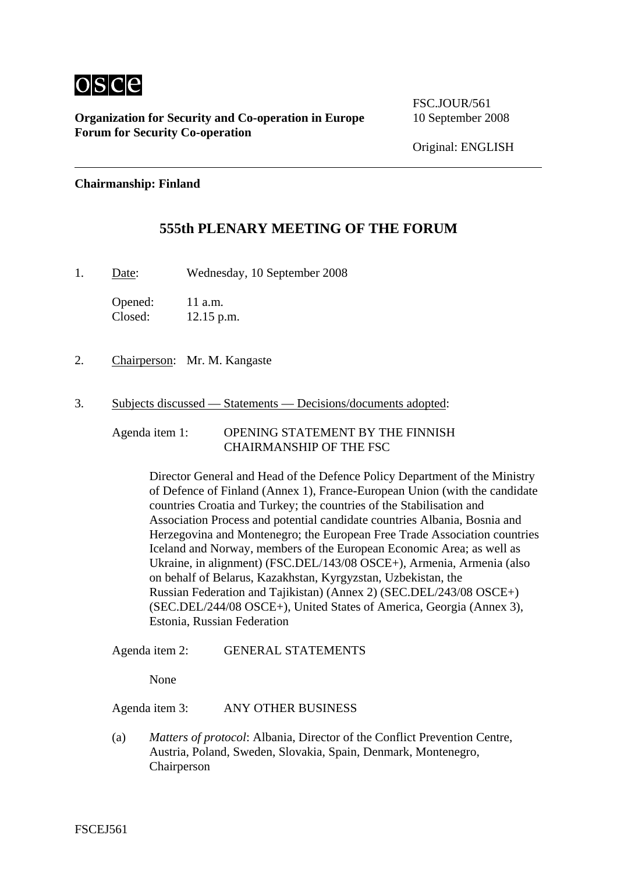

**Organization for Security and Co-operation in Europe** 10 September 2008 **Forum for Security Co-operation**

FSC.JOUR/561

### **Chairmanship: Finland**

## **555th PLENARY MEETING OF THE FORUM**

1. Date: Wednesday, 10 September 2008

Opened: 11 a.m. Closed: 12.15 p.m.

- 2. Chairperson: Mr. M. Kangaste
- 3. Subjects discussed Statements Decisions/documents adopted:

Agenda item 1: OPENING STATEMENT BY THE FINNISH CHAIRMANSHIP OF THE FSC

> Director General and Head of the Defence Policy Department of the Ministry of Defence of Finland (Annex 1), France-European Union (with the candidate countries Croatia and Turkey; the countries of the Stabilisation and Association Process and potential candidate countries Albania, Bosnia and Herzegovina and Montenegro; the European Free Trade Association countries Iceland and Norway, members of the European Economic Area; as well as Ukraine, in alignment) (FSC.DEL/143/08 OSCE+), Armenia, Armenia (also on behalf of Belarus, Kazakhstan, Kyrgyzstan, Uzbekistan, the Russian Federation and Tajikistan) (Annex 2) (SEC.DEL/243/08 OSCE+) (SEC.DEL/244/08 OSCE+), United States of America, Georgia (Annex 3), Estonia, Russian Federation

### Agenda item 2: GENERAL STATEMENTS

None

Agenda item 3: ANY OTHER BUSINESS

(a) *Matters of protocol*: Albania, Director of the Conflict Prevention Centre, Austria, Poland, Sweden, Slovakia, Spain, Denmark, Montenegro, Chairperson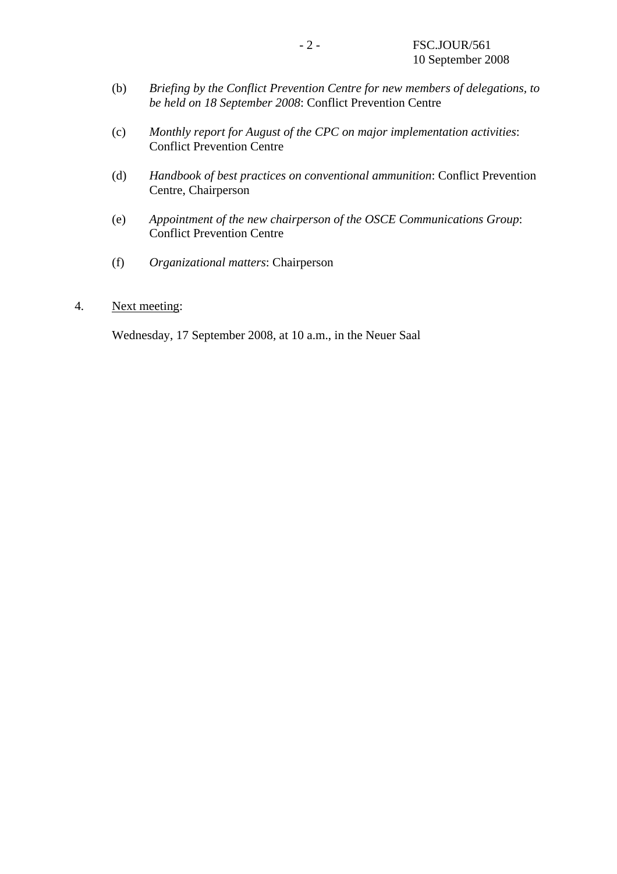- (b) *Briefing by the Conflict Prevention Centre for new members of delegations, to be held on 18 September 2008*: Conflict Prevention Centre
- (c) *Monthly report for August of the CPC on major implementation activities*: Conflict Prevention Centre
- (d) *Handbook of best practices on conventional ammunition*: Conflict Prevention Centre, Chairperson
- (e) *Appointment of the new chairperson of the OSCE Communications Group*: Conflict Prevention Centre
- (f) *Organizational matters*: Chairperson

### 4. Next meeting:

Wednesday, 17 September 2008, at 10 a.m., in the Neuer Saal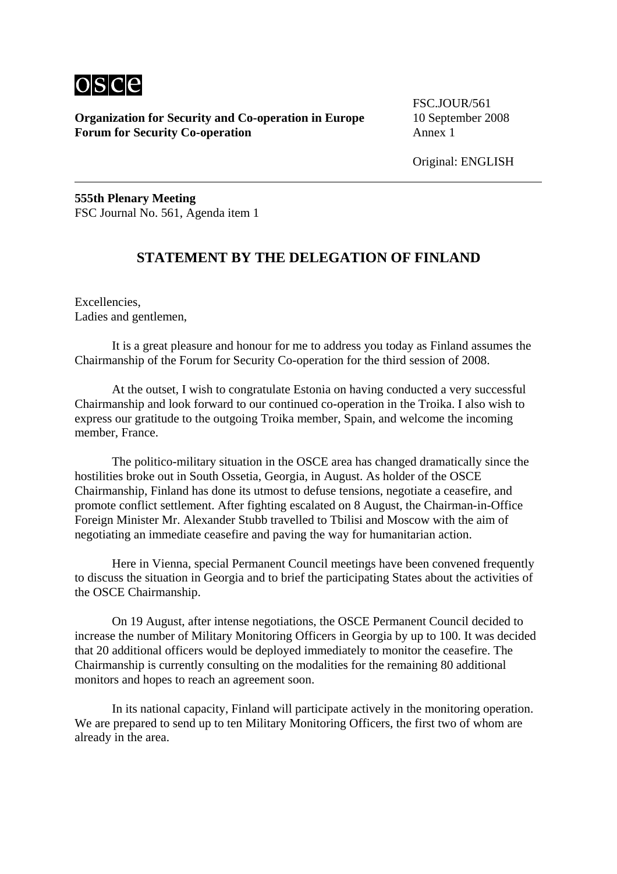

**Organization for Security and Co-operation in Europe** 10 September 2008 **Forum for Security Co-operation** Annex 1

FSC.JOUR/561

Original: ENGLISH

**555th Plenary Meeting**  FSC Journal No. 561, Agenda item 1

## **STATEMENT BY THE DELEGATION OF FINLAND**

Excellencies, Ladies and gentlemen,

 It is a great pleasure and honour for me to address you today as Finland assumes the Chairmanship of the Forum for Security Co-operation for the third session of 2008.

 At the outset, I wish to congratulate Estonia on having conducted a very successful Chairmanship and look forward to our continued co-operation in the Troika. I also wish to express our gratitude to the outgoing Troika member, Spain, and welcome the incoming member, France.

 The politico-military situation in the OSCE area has changed dramatically since the hostilities broke out in South Ossetia, Georgia, in August. As holder of the OSCE Chairmanship, Finland has done its utmost to defuse tensions, negotiate a ceasefire, and promote conflict settlement. After fighting escalated on 8 August, the Chairman-in-Office Foreign Minister Mr. Alexander Stubb travelled to Tbilisi and Moscow with the aim of negotiating an immediate ceasefire and paving the way for humanitarian action.

 Here in Vienna, special Permanent Council meetings have been convened frequently to discuss the situation in Georgia and to brief the participating States about the activities of the OSCE Chairmanship.

 On 19 August, after intense negotiations, the OSCE Permanent Council decided to increase the number of Military Monitoring Officers in Georgia by up to 100. It was decided that 20 additional officers would be deployed immediately to monitor the ceasefire. The Chairmanship is currently consulting on the modalities for the remaining 80 additional monitors and hopes to reach an agreement soon.

 In its national capacity, Finland will participate actively in the monitoring operation. We are prepared to send up to ten Military Monitoring Officers, the first two of whom are already in the area.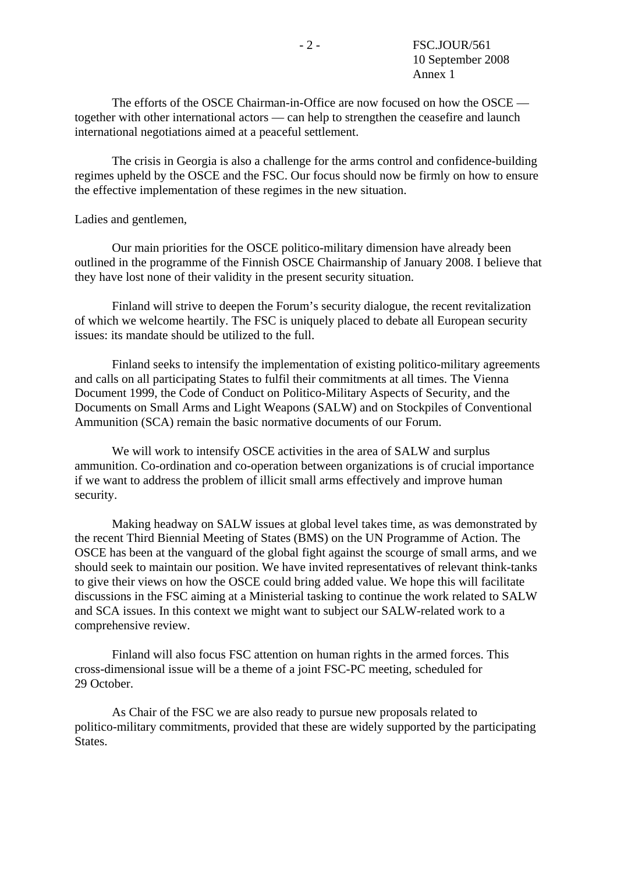The efforts of the OSCE Chairman-in-Office are now focused on how the OSCE together with other international actors — can help to strengthen the ceasefire and launch international negotiations aimed at a peaceful settlement.

 The crisis in Georgia is also a challenge for the arms control and confidence-building regimes upheld by the OSCE and the FSC. Our focus should now be firmly on how to ensure the effective implementation of these regimes in the new situation.

Ladies and gentlemen,

 Our main priorities for the OSCE politico-military dimension have already been outlined in the programme of the Finnish OSCE Chairmanship of January 2008. I believe that they have lost none of their validity in the present security situation.

 Finland will strive to deepen the Forum's security dialogue, the recent revitalization of which we welcome heartily. The FSC is uniquely placed to debate all European security issues: its mandate should be utilized to the full.

 Finland seeks to intensify the implementation of existing politico-military agreements and calls on all participating States to fulfil their commitments at all times. The Vienna Document 1999, the Code of Conduct on Politico-Military Aspects of Security, and the Documents on Small Arms and Light Weapons (SALW) and on Stockpiles of Conventional Ammunition (SCA) remain the basic normative documents of our Forum.

 We will work to intensify OSCE activities in the area of SALW and surplus ammunition. Co-ordination and co-operation between organizations is of crucial importance if we want to address the problem of illicit small arms effectively and improve human security.

 Making headway on SALW issues at global level takes time, as was demonstrated by the recent Third Biennial Meeting of States (BMS) on the UN Programme of Action. The OSCE has been at the vanguard of the global fight against the scourge of small arms, and we should seek to maintain our position. We have invited representatives of relevant think-tanks to give their views on how the OSCE could bring added value. We hope this will facilitate discussions in the FSC aiming at a Ministerial tasking to continue the work related to SALW and SCA issues. In this context we might want to subject our SALW-related work to a comprehensive review.

 Finland will also focus FSC attention on human rights in the armed forces. This cross-dimensional issue will be a theme of a joint FSC-PC meeting, scheduled for 29 October.

 As Chair of the FSC we are also ready to pursue new proposals related to politico-military commitments, provided that these are widely supported by the participating States.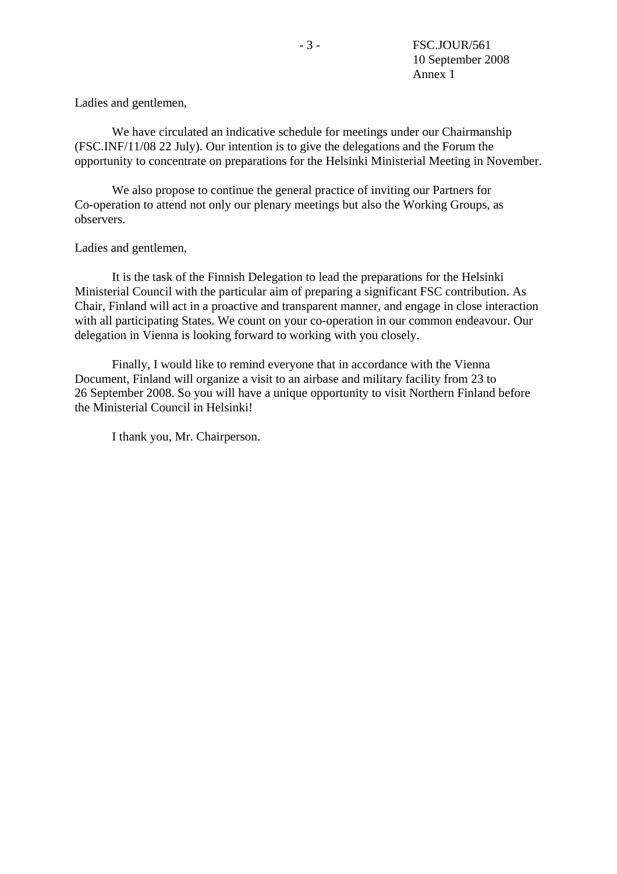Ladies and gentlemen,

We have circulated an indicative schedule for meetings under our Chairmanship (FSC.INF/11/08 22 July). Our intention is to give the delegations and the Forum the opportunity to concentrate on preparations for the Helsinki Ministerial Meeting in November.

 We also propose to continue the general practice of inviting our Partners for Co-operation to attend not only our plenary meetings but also the Working Groups, as observers.

Ladies and gentlemen,

 It is the task of the Finnish Delegation to lead the preparations for the Helsinki Ministerial Council with the particular aim of preparing a significant FSC contribution. As Chair, Finland will act in a proactive and transparent manner, and engage in close interaction with all participating States. We count on your co-operation in our common endeavour. Our delegation in Vienna is looking forward to working with you closely.

 Finally, I would like to remind everyone that in accordance with the Vienna Document, Finland will organize a visit to an airbase and military facility from 23 to 26 September 2008. So you will have a unique opportunity to visit Northern Finland before the Ministerial Council in Helsinki!

I thank you, Mr. Chairperson.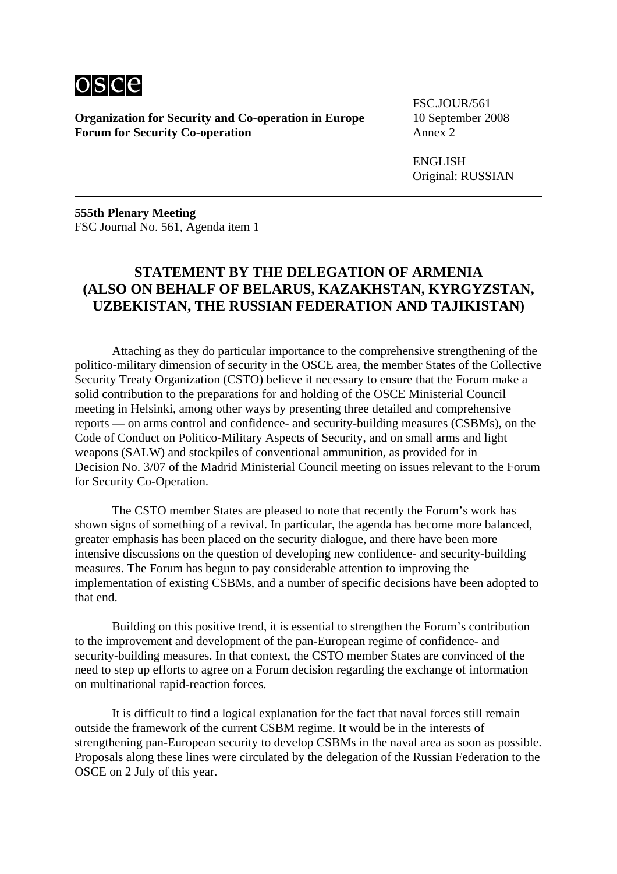

**Organization for Security and Co-operation in Europe** 10 September 2008 **Forum for Security Co-operation** Annex 2

FSC.JOUR/561

 ENGLISH Original: RUSSIAN

**555th Plenary Meeting**  FSC Journal No. 561, Agenda item 1

# **STATEMENT BY THE DELEGATION OF ARMENIA (ALSO ON BEHALF OF BELARUS, KAZAKHSTAN, KYRGYZSTAN, UZBEKISTAN, THE RUSSIAN FEDERATION AND TAJIKISTAN)**

 Attaching as they do particular importance to the comprehensive strengthening of the politico-military dimension of security in the OSCE area, the member States of the Collective Security Treaty Organization (CSTO) believe it necessary to ensure that the Forum make a solid contribution to the preparations for and holding of the OSCE Ministerial Council meeting in Helsinki, among other ways by presenting three detailed and comprehensive reports — on arms control and confidence- and security-building measures (CSBMs), on the Code of Conduct on Politico-Military Aspects of Security, and on small arms and light weapons (SALW) and stockpiles of conventional ammunition, as provided for in Decision No. 3/07 of the Madrid Ministerial Council meeting on issues relevant to the Forum for Security Co-Operation.

 The CSTO member States are pleased to note that recently the Forum's work has shown signs of something of a revival. In particular, the agenda has become more balanced, greater emphasis has been placed on the security dialogue, and there have been more intensive discussions on the question of developing new confidence- and security-building measures. The Forum has begun to pay considerable attention to improving the implementation of existing CSBMs, and a number of specific decisions have been adopted to that end.

 Building on this positive trend, it is essential to strengthen the Forum's contribution to the improvement and development of the pan-European regime of confidence- and security-building measures. In that context, the CSTO member States are convinced of the need to step up efforts to agree on a Forum decision regarding the exchange of information on multinational rapid-reaction forces.

 It is difficult to find a logical explanation for the fact that naval forces still remain outside the framework of the current CSBM regime. It would be in the interests of strengthening pan-European security to develop CSBMs in the naval area as soon as possible. Proposals along these lines were circulated by the delegation of the Russian Federation to the OSCE on 2 July of this year.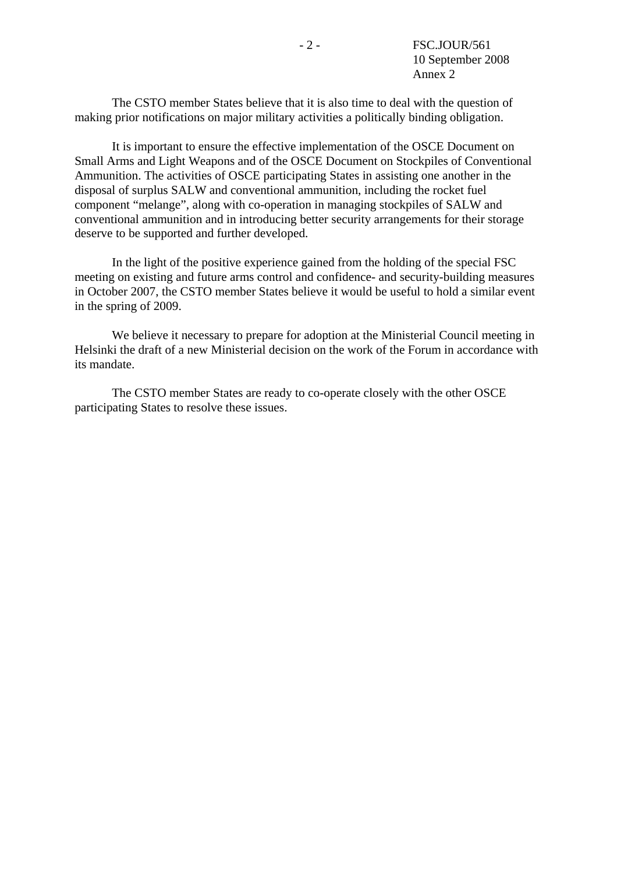The CSTO member States believe that it is also time to deal with the question of making prior notifications on major military activities a politically binding obligation.

 It is important to ensure the effective implementation of the OSCE Document on Small Arms and Light Weapons and of the OSCE Document on Stockpiles of Conventional Ammunition. The activities of OSCE participating States in assisting one another in the disposal of surplus SALW and conventional ammunition, including the rocket fuel component "melange", along with co-operation in managing stockpiles of SALW and conventional ammunition and in introducing better security arrangements for their storage deserve to be supported and further developed.

 In the light of the positive experience gained from the holding of the special FSC meeting on existing and future arms control and confidence- and security-building measures in October 2007, the CSTO member States believe it would be useful to hold a similar event in the spring of 2009.

 We believe it necessary to prepare for adoption at the Ministerial Council meeting in Helsinki the draft of a new Ministerial decision on the work of the Forum in accordance with its mandate.

 The CSTO member States are ready to co-operate closely with the other OSCE participating States to resolve these issues.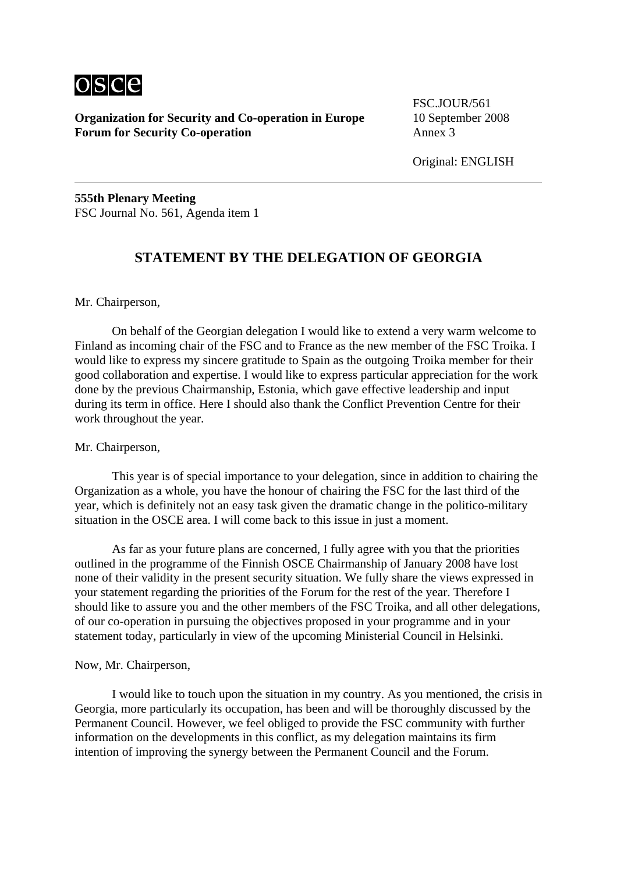

**Organization for Security and Co-operation in Europe** 10 September 2008 **Forum for Security Co-operation** Annex 3

FSC.JOUR/561

Original: ENGLISH

**555th Plenary Meeting**  FSC Journal No. 561, Agenda item 1

## **STATEMENT BY THE DELEGATION OF GEORGIA**

Mr. Chairperson,

 On behalf of the Georgian delegation I would like to extend a very warm welcome to Finland as incoming chair of the FSC and to France as the new member of the FSC Troika. I would like to express my sincere gratitude to Spain as the outgoing Troika member for their good collaboration and expertise. I would like to express particular appreciation for the work done by the previous Chairmanship, Estonia, which gave effective leadership and input during its term in office. Here I should also thank the Conflict Prevention Centre for their work throughout the year.

### Mr. Chairperson,

 This year is of special importance to your delegation, since in addition to chairing the Organization as a whole, you have the honour of chairing the FSC for the last third of the year, which is definitely not an easy task given the dramatic change in the politico-military situation in the OSCE area. I will come back to this issue in just a moment.

 As far as your future plans are concerned, I fully agree with you that the priorities outlined in the programme of the Finnish OSCE Chairmanship of January 2008 have lost none of their validity in the present security situation. We fully share the views expressed in your statement regarding the priorities of the Forum for the rest of the year. Therefore I should like to assure you and the other members of the FSC Troika, and all other delegations, of our co-operation in pursuing the objectives proposed in your programme and in your statement today, particularly in view of the upcoming Ministerial Council in Helsinki.

## Now, Mr. Chairperson,

 I would like to touch upon the situation in my country. As you mentioned, the crisis in Georgia, more particularly its occupation, has been and will be thoroughly discussed by the Permanent Council. However, we feel obliged to provide the FSC community with further information on the developments in this conflict, as my delegation maintains its firm intention of improving the synergy between the Permanent Council and the Forum.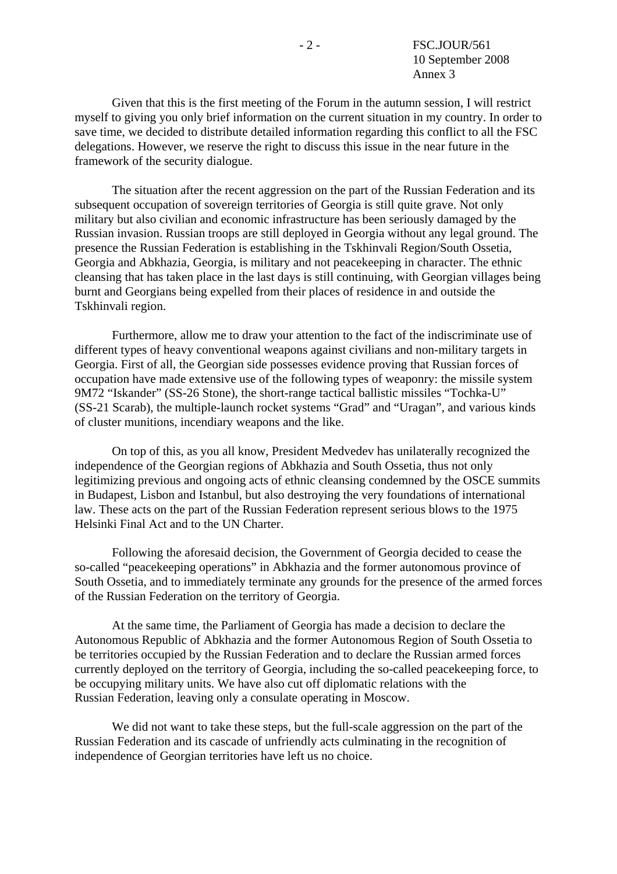Given that this is the first meeting of the Forum in the autumn session, I will restrict myself to giving you only brief information on the current situation in my country. In order to save time, we decided to distribute detailed information regarding this conflict to all the FSC delegations. However, we reserve the right to discuss this issue in the near future in the framework of the security dialogue.

 The situation after the recent aggression on the part of the Russian Federation and its subsequent occupation of sovereign territories of Georgia is still quite grave. Not only military but also civilian and economic infrastructure has been seriously damaged by the Russian invasion. Russian troops are still deployed in Georgia without any legal ground. The presence the Russian Federation is establishing in the Tskhinvali Region/South Ossetia, Georgia and Abkhazia, Georgia, is military and not peacekeeping in character. The ethnic cleansing that has taken place in the last days is still continuing, with Georgian villages being burnt and Georgians being expelled from their places of residence in and outside the Tskhinvali region.

 Furthermore, allow me to draw your attention to the fact of the indiscriminate use of different types of heavy conventional weapons against civilians and non-military targets in Georgia. First of all, the Georgian side possesses evidence proving that Russian forces of occupation have made extensive use of the following types of weaponry: the missile system 9M72 "Iskander" (SS-26 Stone), the short-range tactical ballistic missiles "Tochka-U" (SS-21 Scarab), the multiple-launch rocket systems "Grad" and "Uragan", and various kinds of cluster munitions, incendiary weapons and the like.

 On top of this, as you all know, President Medvedev has unilaterally recognized the independence of the Georgian regions of Abkhazia and South Ossetia, thus not only legitimizing previous and ongoing acts of ethnic cleansing condemned by the OSCE summits in Budapest, Lisbon and Istanbul, but also destroying the very foundations of international law. These acts on the part of the Russian Federation represent serious blows to the 1975 Helsinki Final Act and to the UN Charter.

 Following the aforesaid decision, the Government of Georgia decided to cease the so-called "peacekeeping operations" in Abkhazia and the former autonomous province of South Ossetia, and to immediately terminate any grounds for the presence of the armed forces of the Russian Federation on the territory of Georgia.

 At the same time, the Parliament of Georgia has made a decision to declare the Autonomous Republic of Abkhazia and the former Autonomous Region of South Ossetia to be territories occupied by the Russian Federation and to declare the Russian armed forces currently deployed on the territory of Georgia, including the so-called peacekeeping force, to be occupying military units. We have also cut off diplomatic relations with the Russian Federation, leaving only a consulate operating in Moscow.

 We did not want to take these steps, but the full-scale aggression on the part of the Russian Federation and its cascade of unfriendly acts culminating in the recognition of independence of Georgian territories have left us no choice.